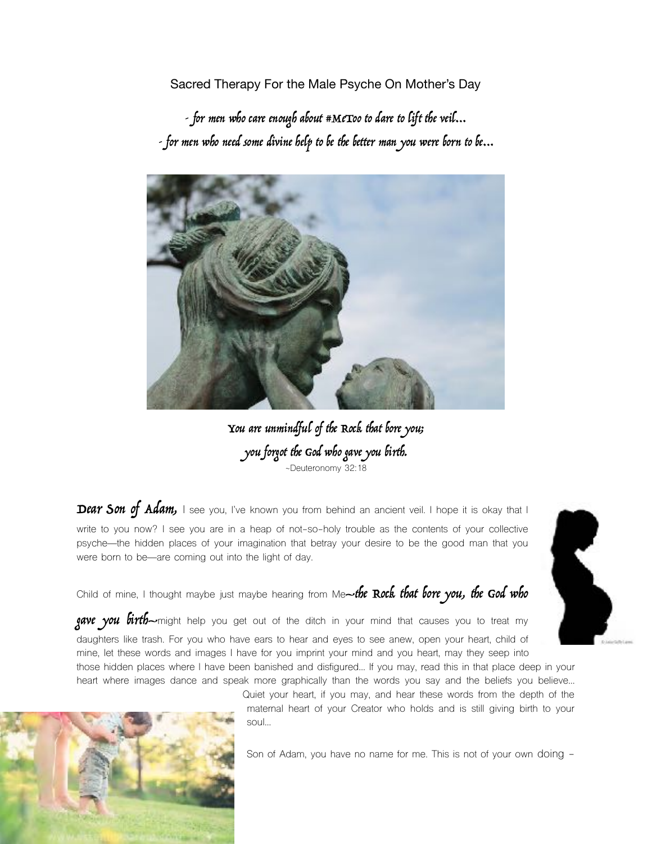Sacred Therapy For the Male Psyche On Mother's Day

- for men who care enough about #MeToo to dare to lift the veil… - for men who need some divine help to be the better man you were born to be…



You are unmindful of the Rock that bore you; you forgot the God who gave you birth. ~Deuteronomy 32:18

Dear Son of Adam, I see you, I've known you from behind an ancient veil. I hope it is okay that I write to you now? I see you are in a heap of not-so-holy trouble as the contents of your collective psyche—the hidden places of your imagination that betray your desire to be the good man that you were born to be—are coming out into the light of day.

Child of mine, I thought maybe just maybe hearing from Me-the Rock that bore you, the God who

gave you birth-might help you get out of the ditch in your mind that causes you to treat my daughters like trash. For you who have ears to hear and eyes to see anew, open your heart, child of mine, let these words and images I have for you imprint your mind and you heart, may they seep into those hidden places where I have been banished and disfigured… If you may, read this in that place deep in your

heart where images dance and speak more graphically than the words you say and the beliefs you believe… Quiet your heart, if you may, and hear these words from the depth of the



maternal heart of your Creator who holds and is still giving birth to your soul…

Son of Adam, you have no name for me. This is not of your own doing -

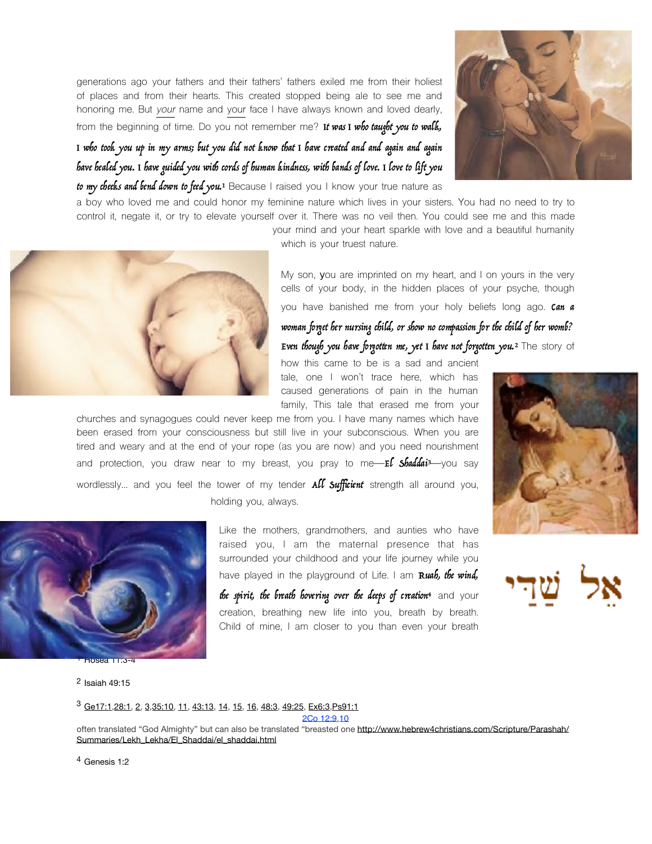generations ago your fathers and their fathers' fathers exiled me from their holiest of places and from their hearts. This created stopped being ale to see me and honoring me. But *your* name and your face I have always known and loved dearly, from the beginning of time. Do you not remember me? It was I who taught you to walk,



# I who took you up in my arms; but you did not know that I have created and and again and again have healed you. I have guided you with cords of human kindness, with bands of love. I love to lift you

to my cheeks and bend down to feed you.<sup>[1](#page-1-0)</sup> Because I raised you I know your true nature as

a boy who loved me and could honor my feminine nature which lives in your sisters. You had no need to try to control it, negate it, or try to elevate yourself over it. There was no veil then. You could see me and this made your mind and your heart sparkle with love and a beautiful humanity



<span id="page-1-4"></span>which is your truest nature.

My son, **y**ou are imprinted on my heart, and I on yours in the very cells of your body, in the hidden places of your psyche, though you have banished me from your holy beliefs long ago. Can a

woman forget her nursing child, or show no compassion for the child of her womb? Even though you have forgotten me, yet I have not forgotten you.<sup>[2](#page-1-1)</sup> The story of

how this came to be is a sad and ancient tale, one I won't trace here, which has caused generations of pain in the human family, This tale that erased me from your

churches and synagogues could never keep me from you. I have many names which have been erased from your consciousness but still live in your subconscious. When you are tired and weary and at the end of your rope (as you are now) and you need nourishment and protection, you draw near to my breast, you pray to me- $E$  **Shaddai**<sup>[3](#page-1-2)</sup>-you say wordlessly... and you feel the tower of my tender  $\Delta U$  Sufficient strength all around you, holding you, always.

<span id="page-1-6"></span><span id="page-1-5"></span>



<span id="page-1-0"></span>[1](#page-1-4) Hosea 11:3-4

<span id="page-1-1"></span>[2](#page-1-5) Isaiah 49:15

raised you, I am the maternal presence that has surrounded your childhood and your life journey while you have played in the playground of Life. I am Ruah, the wind,

Like the mothers, grandmothers, and aunties who have

the spirit, the breath hovering over the deeps of creation<sup>[4](#page-1-3)</sup> and your creation, breathing new life into you, breath by breath. Child of mine, I am closer to you than even your breath

<span id="page-1-7"></span>

<span id="page-1-2"></span>[Ge17:1](https://biblia.com/bible/nasb95/Gen17.1)[,28:1,](https://biblia.com/bible/nasb95/Ge%2028.1) [2,](https://biblia.com/bible/nasb95/Ge%2028.2) [3,](https://biblia.com/bible/nasb95/Ge%2028.3)[35:10,](https://biblia.com/bible/nasb95/Ge%2035.10) [11](https://biblia.com/bible/nasb95/Ge%2035.11), [43:13,](https://biblia.com/bible/nasb95/Ge%2043.13) [14](https://biblia.com/bible/nasb95/Ge%2043.14), [15](https://biblia.com/bible/nasb95/Ge%2043.15), [16,](https://biblia.com/bible/nasb95/Ge%2043.16) [48:3,](https://biblia.com/bible/nasb95/Ge%2048.3) [49:25](https://biblia.com/bible/nasb95/Ge%2049.25), [Ex6:3,](https://biblia.com/bible/nasb95/Exod6.3)[Ps91:1](https://biblia.com/bible/nasb95/Ps91.1) [3](#page-1-6)

[2Co 12:9,](https://biblia.com/bible/nasb95/2%20Cor%2012.9)[10](https://biblia.com/bible/nasb95/2Co%2012.10)

often translated "God Almighty" but can also be translated "breasted one [http://www.hebrew4christians.com/Scripture/Parashah/](http://www.hebrew4christians.com/Scripture/Parashah/Summaries/Lekh_Lekha/El_Shaddai/el_shaddai.html) [Summaries/Lekh\\_Lekha/El\\_Shaddai/el\\_shaddai.html](http://www.hebrew4christians.com/Scripture/Parashah/Summaries/Lekh_Lekha/El_Shaddai/el_shaddai.html)

<span id="page-1-3"></span><sup>[4](#page-1-7)</sup> Genesis 1:2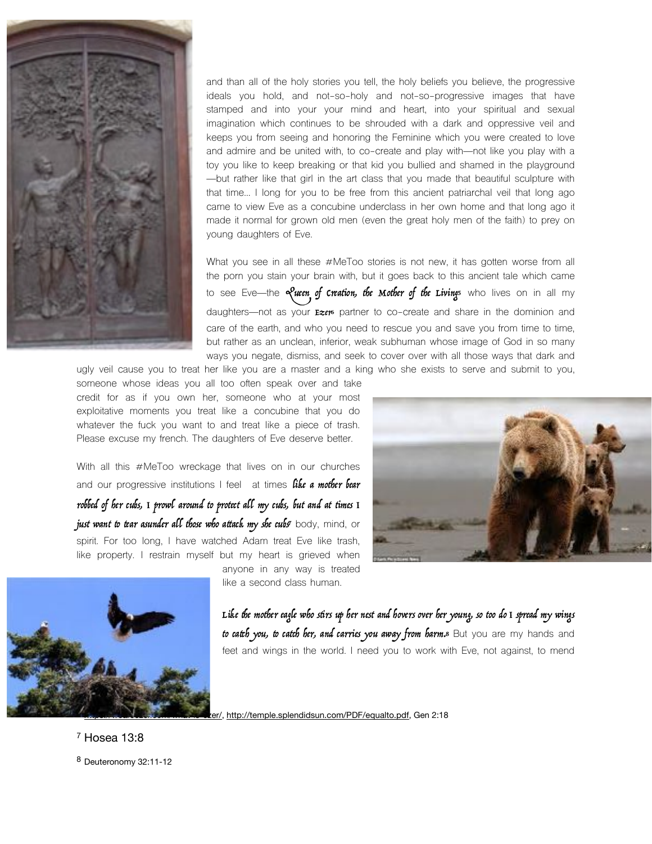

and than all of the holy stories you tell, the holy beliefs you believe, the progressive ideals you hold, and not-so-holy and not-so-progressive images that have stamped and into your your mind and heart, into your spiritual and sexual imagination which continues to be shrouded with a dark and oppressive veil and keeps you from seeing and honoring the Feminine which you were created to love and admire and be united with, to co-create and play with—not like you play with a toy you like to keep breaking or that kid you bullied and shamed in the playground —but rather like that girl in the art class that you made that beautiful sculpture with that time… I long for you to be free from this ancient patriarchal veil that long ago came to view Eve as a concubine underclass in her own home and that long ago it made it normal for grown old men (even the great holy men of the faith) to prey on young daughters of Eve.

What you see in all these #MeToo stories is not new, it has gotten worse from all the porn you stain your brain with, but it goes back to this ancient tale which came to see Eve—the elucen of creation, the Mother of the Livings who lives on in all my daughters—not as your  $r = z$ , partner to co-create and share in the dominion and care of the earth, and who you need to rescue you and save you from time to time, but rather as an unclean, inferior, weak subhuman whose image of God in so many ways you negate, dismiss, and seek to cover over with all those ways that dark and

ugly veil cause you to treat her like you are a master and a king who she exists to serve and submit to you, someone whose ideas you all too often speak over and take credit for as if you own her, someone who at your most exploitative moments you treat like a concubine that you do whatever the fuck you want to and treat like a piece of trash. Please excuse my french. The daughters of Eve deserve better.

With all this #MeToo wreckage that lives on in our churches and our progressive institutions I feel at times like a mother bear robbed of her cubs, I prowl around to protect all my cubs, but and at times I just want to tear asunder all those who attack my she cubs<sup>[7](#page-2-2)</sup> body, mind, or spirit. For too long, I have watched Adam treat Eve like trash, like property. I restrain myself but my heart is grieved when

anyone in any way is treated

<span id="page-2-5"></span><span id="page-2-4"></span>



<span id="page-2-6"></span>like a second class human.

<span id="page-2-7"></span>Like the mother eagle who stirs up her nest and hovers over her young, so too do I spread my wings to catch you, to catch her, and carries you away from harm.<sup>8</sup> But you are my hands and feet and wings in the world. I need you to work with Eve, not against, to mend

<http://temple.splendidsun.com/PDF/equalto.pdf>, Gen 2:18

<span id="page-2-3"></span><span id="page-2-2"></span><span id="page-2-1"></span><span id="page-2-0"></span>[7](#page-2-6) Hosea 13:8 [8](#page-2-7) Deuteronomy 32:11-12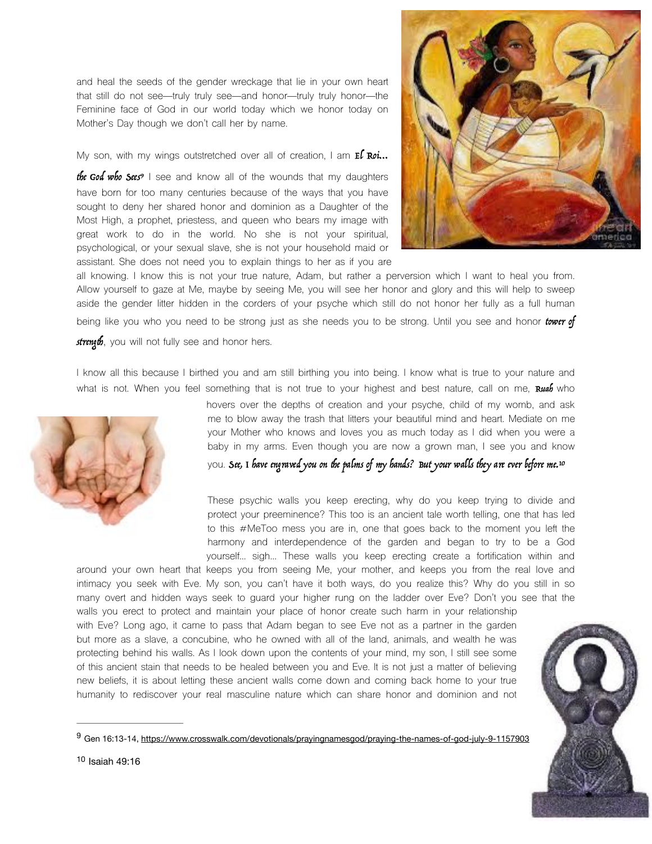and heal the seeds of the gender wreckage that lie in your own heart that still do not see—truly truly see—and honor—truly truly honor—the Feminine face of God in our world today which we honor today on Mother's Day though we don't call her by name.

My son, with my wings outstretched over all of creation, I am  $E$  Roi...

<span id="page-3-2"></span>the God who Sees<sup>[9](#page-3-0)</sup> I see and know all of the wounds that my daughters have born for too many centuries because of the ways that you have sought to deny her shared honor and dominion as a Daughter of the Most High, a prophet, priestess, and queen who bears my image with great work to do in the world. No she is not your spiritual, psychological, or your sexual slave, she is not your household maid or assistant. She does not need you to explain things to her as if you are



all knowing. I know this is not your true nature, Adam, but rather a perversion which I want to heal you from. Allow yourself to gaze at Me, maybe by seeing Me, you will see her honor and glory and this will help to sweep aside the gender litter hidden in the corders of your psyche which still do not honor her fully as a full human being like you who you need to be strong just as she needs you to be strong. Until you see and honor tower of strength, you will not fully see and honor hers.

I know all this because I birthed you and am still birthing you into being. I know what is true to your nature and what is not. When you feel something that is not true to your highest and best nature, call on me, Ruab who



<span id="page-3-3"></span>hovers over the depths of creation and your psyche, child of my womb, and ask me to blow away the trash that litters your beautiful mind and heart. Mediate on me your Mother who knows and loves you as much today as I did when you were a baby in my arms. Even though you are now a grown man, I see you and know you. See, I have engraved you on the palms of my hands? But your walls they are ever before me[.](#page-3-1) [10](#page-3-1)

These psychic walls you keep erecting, why do you keep trying to divide and protect your preeminence? This too is an ancient tale worth telling, one that has led to this #MeToo mess you are in, one that goes back to the moment you left the harmony and interdependence of the garden and began to try to be a God yourself… sigh… These walls you keep erecting create a fortification within and around your own heart that keeps you from seeing Me, your mother, and keeps you from the real love and

intimacy you seek with Eve. My son, you can't have it both ways, do you realize this? Why do you still in so many overt and hidden ways seek to guard your higher rung on the ladder over Eve? Don't you see that the walls you erect to protect and maintain your place of honor create such harm in your relationship with Eve? Long ago, it came to pass that Adam began to see Eve not as a partner in the garden but more as a slave, a concubine, who he owned with all of the land, animals, and wealth he was protecting behind his walls. As I look down upon the contents of your mind, my son, I still see some of this ancient stain that needs to be healed between you and Eve. It is not just a matter of believing new beliefs, it is about letting these ancient walls come down and coming back home to your true humanity to rediscover your real masculine nature which can share honor and dominion and not

<span id="page-3-1"></span><span id="page-3-0"></span>[<sup>9</sup>](#page-3-2) Gen 16:13-14, https://www.crosswalk.com/devotionals/prayingnamesgod/praying-the-names-of-god-july-9-1157903

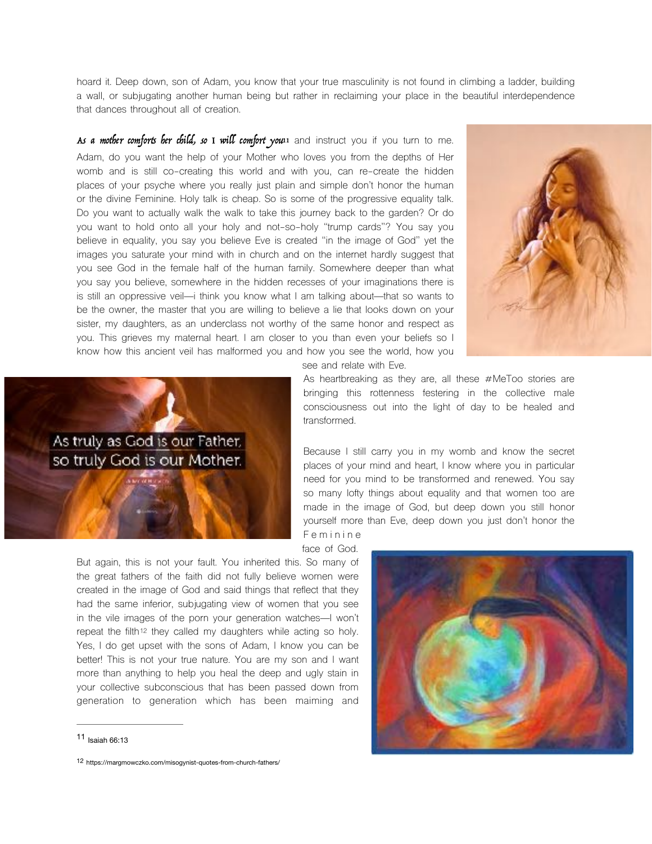hoard it. Deep down, son of Adam, you know that your true masculinity is not found in climbing a ladder, building a wall, or subjugating another human being but rather in reclaiming your place in the beautiful interdependence that dances throughout all of creation.

As a mother comforts her child, so I will comfort you<sup>11</sup> and instruct you if you turn to me. Adam, do you want the help of your Mother who loves you from the depths of Her womb and is still co-creating this world and with you, can re-create the hidden places of your psyche where you really just plain and simple don't honor the human or the divine Feminine. Holy talk is cheap. So is some of the progressive equality talk. Do you want to actually walk the walk to take this journey back to the garden? Or do you want to hold onto all your holy and not-so-holy "trump cards"? You say you believe in equality, you say you believe Eve is created "in the image of God" yet the images you saturate your mind with in church and on the internet hardly suggest that you see God in the female half of the human family. Somewhere deeper than what you say you believe, somewhere in the hidden recesses of your imaginations there is is still an oppressive veil—i think you know what I am talking about—that so wants to be the owner, the master that you are willing to believe a lie that looks down on your sister, my daughters, as an underclass not worthy of the same honor and respect as you. This grieves my maternal heart. I am closer to you than even your beliefs so I know how this ancient veil has malformed you and how you see the world, how you

<span id="page-4-2"></span>



As heartbreaking as they are, all these #MeToo stories are bringing this rottenness festering in the collective male consciousness out into the light of day to be healed and transformed.

Because I still carry you in my womb and know the secret places of your mind and heart, I know where you in particular need for you mind to be transformed and renewed. You say so many lofty things about equality and that women too are made in the image of God, but deep down you still honor yourself more than Eve, deep down you just don't honor the F e m i n i n e

face of God.

<span id="page-4-3"></span>But again, this is not your fault. You inherited this. So many of the great fathers of the faith did not fully believe women were created in the image of God and said things that reflect that they had the same inferior, subjugating view of women that you see in the vile images of the porn your generation watches—I won't repeat the filth<sup>[12](#page-4-1)</sup> they called my daughters while acting so holy. Yes, I do get upset with the sons of Adam, I know you can be better! This is not your true nature. You are my son and I want more than anything to help you heal the deep and ugly stain in your collective subconscious that has been passed down from generation to generation which has been maiming and



<span id="page-4-1"></span>[12](#page-4-3) https://margmowczko.com/misogynist-quotes-from-church-fathers/



<span id="page-4-0"></span>[<sup>11</sup>](#page-4-2) Isaiah 66:13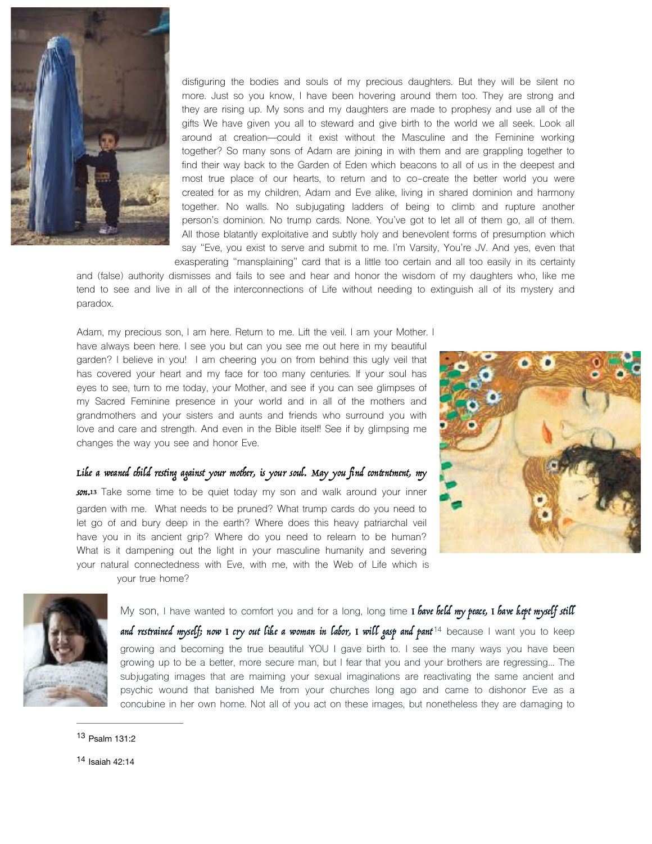

disfiguring the bodies and souls of my precious daughters. But they will be silent no more. Just so you know, I have been hovering around them too. They are strong and they are rising up. My sons and my daughters are made to prophesy and use all of the gifts We have given you all to steward and give birth to the world we all seek. Look all around at creation—could it exist without the Masculine and the Feminine working together? So many sons of Adam are joining in with them and are grappling together to find their way back to the Garden of Eden which beacons to all of us in the deepest and most true place of our hearts, to return and to co-create the better world you were created for as my children, Adam and Eve alike, living in shared dominion and harmony together. No walls. No subjugating ladders of being to climb and rupture another person's dominion. No trump cards. None. You've got to let all of them go, all of them. All those blatantly exploitative and subtly holy and benevolent forms of presumption which say "Eve, you exist to serve and submit to me. I'm Varsity, You're JV. And yes, even that exasperating "mansplaining" card that is a little too certain and all too easily in its certainty

and (false) authority dismisses and fails to see and hear and honor the wisdom of my daughters who, like me tend to see and live in all of the interconnections of Life without needing to extinguish all of its mystery and paradox.

Adam, my precious son, I am here. Return to me. Lift the veil. I am your Mother. I have always been here. I see you but can you see me out here in my beautiful garden? I believe in you! I am cheering you on from behind this ugly veil that has covered your heart and my face for too many centuries. If your soul has eyes to see, turn to me today, your Mother, and see if you can see glimpses of my Sacred Feminine presence in your world and in all of the mothers and grandmothers and your sisters and aunts and friends who surround you with love and care and strength. And even in the Bible itself! See if by glimpsing me changes the way you see and honor Eve.

<span id="page-5-3"></span>

### Like a weaned child resting against your mother, is your soul. May you find contentment, my

<span id="page-5-2"></span>son.<sup>[13](#page-5-0)</sup> Take some time to be quiet today my son and walk around your inner garden with me. What needs to be pruned? What trump cards do you need to let go of and bury deep in the earth? Where does this heavy patriarchal veil have you in its ancient grip? Where do you need to relearn to be human? What is it dampening out the light in your masculine humanity and severing your natural connectedness with Eve, with me, with the Web of Life which is your true home?



My son, I have wanted to comfort you and for a long, long time I have held my peace, I have kept myself still

and restrained myself; now I cry out like a woman in labor, I will gasp and pant<sup>[14](#page-5-1)</sup> because I want you to keep growing and becoming the true beautiful YOU I gave birth to. I see the many ways you have been growing up to be a better, more secure man, but I fear that you and your brothers are regressing… The subjugating images that are maiming your sexual imaginations are reactivating the same ancient and psychic wound that banished Me from your churches long ago and came to dishonor Eve as a concubine in her own home. Not all of you act on these images, but nonetheless they are damaging to

<span id="page-5-0"></span>[<sup>13</sup>](#page-5-2) Psalm 131:2

<span id="page-5-1"></span>[<sup>14</sup>](#page-5-3) Isaiah 42:14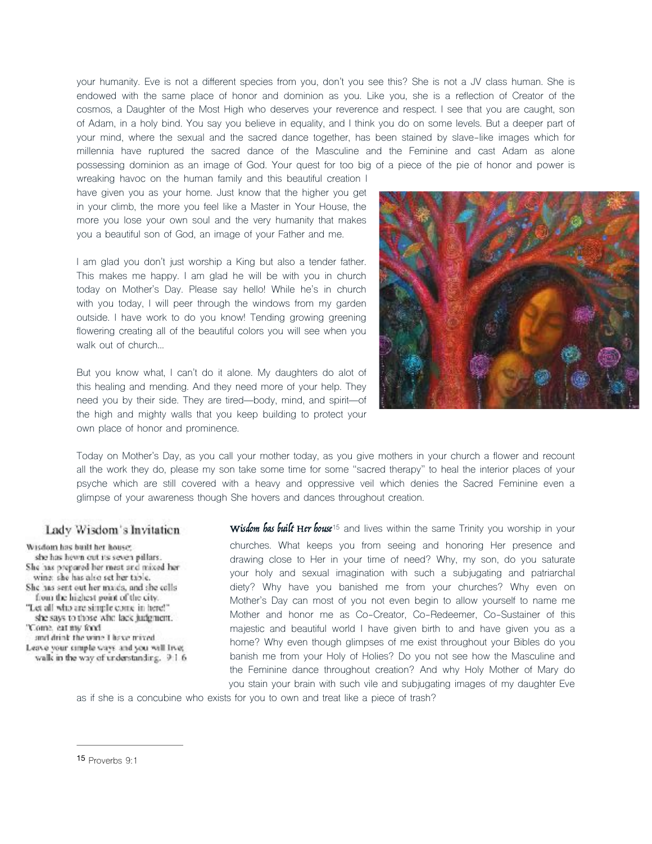your humanity. Eve is not a different species from you, don't you see this? She is not a JV class human. She is endowed with the same place of honor and dominion as you. Like you, she is a reflection of Creator of the cosmos, a Daughter of the Most High who deserves your reverence and respect. I see that you are caught, son of Adam, in a holy bind. You say you believe in equality, and I think you do on some levels. But a deeper part of your mind, where the sexual and the sacred dance together, has been stained by slave-like images which for millennia have ruptured the sacred dance of the Masculine and the Feminine and cast Adam as alone possessing dominion as an image of God. Your quest for too big of a piece of the pie of honor and power is

wreaking havoc on the human family and this beautiful creation I have given you as your home. Just know that the higher you get in your climb, the more you feel like a Master in Your House, the more you lose your own soul and the very humanity that makes you a beautiful son of God, an image of your Father and me.

I am glad you don't just worship a King but also a tender father. This makes me happy. I am glad he will be with you in church today on Mother's Day. Please say hello! While he's in church with you today, I will peer through the windows from my garden outside. I have work to do you know! Tending growing greening flowering creating all of the beautiful colors you will see when you walk out of church…

But you know what, I can't do it alone. My daughters do alot of this healing and mending. And they need more of your help. They need you by their side. They are tired—body, mind, and spirit—of the high and mighty walls that you keep building to protect your own place of honor and prominence.



Today on Mother's Day, as you call your mother today, as you give mothers in your church a flower and recount all the work they do, please my son take some time for some "sacred therapy" to heal the interior places of your psyche which are still covered with a heavy and oppressive veil which denies the Sacred Feminine even a glimpse of your awareness though She hovers and dances throughout creation.

#### Lady Wisdom's Invitation

Wisdom has built her house: she has hewn out its seven pillars. She has prepared her mest and mixed her wing she has also set her table. She has sent out her majes, and she colls from the highest point of the city. "Let all who are simple come in here!" she says to those who lack judgment. 'Come, eat my food and drink the wine I have mixed. Leave your simple ways and you will live; walk in the way of understanding. 9:1.6.

<span id="page-6-1"></span>Wisdom has built Her house<sup>[15](#page-6-0)</sup> and lives within the same Trinity you worship in your churches. What keeps you from seeing and honoring Her presence and drawing close to Her in your time of need? Why, my son, do you saturate your holy and sexual imagination with such a subjugating and patriarchal diety? Why have you banished me from your churches? Why even on Mother's Day can most of you not even begin to allow yourself to name me Mother and honor me as Co-Creator, Co-Redeemer, Co-Sustainer of this majestic and beautiful world I have given birth to and have given you as a home? Why even though glimpses of me exist throughout your Bibles do you banish me from your Holy of Holies? Do you not see how the Masculine and the Feminine dance throughout creation? And why Holy Mother of Mary do you stain your brain with such vile and subjugating images of my daughter Eve

as if she is a concubine who exists for you to own and treat like a piece of trash?

<span id="page-6-0"></span>[15](#page-6-1) Proverbs  $9.1$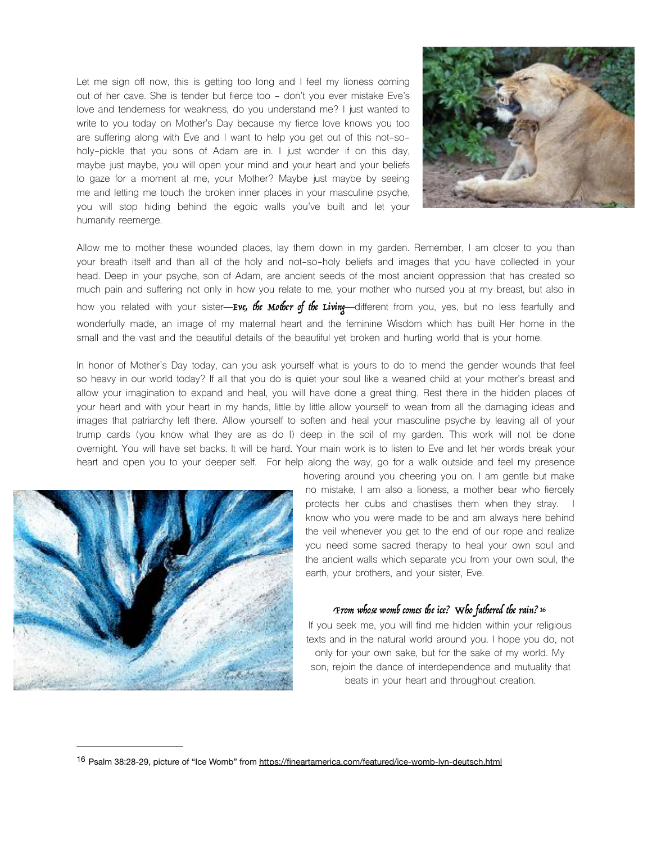Let me sign off now, this is getting too long and I feel my lioness coming out of her cave. She is tender but fierce too - don't you ever mistake Eve's love and tenderness for weakness, do you understand me? I just wanted to write to you today on Mother's Day because my fierce love knows you too are suffering along with Eve and I want to help you get out of this not-soholy-pickle that you sons of Adam are in. I just wonder if on this day, maybe just maybe, you will open your mind and your heart and your beliefs to gaze for a moment at me, your Mother? Maybe just maybe by seeing me and letting me touch the broken inner places in your masculine psyche, you will stop hiding behind the egoic walls you've built and let your humanity reemerge.



Allow me to mother these wounded places, lay them down in my garden. Remember, I am closer to you than your breath itself and than all of the holy and not-so-holy beliefs and images that you have collected in your head. Deep in your psyche, son of Adam, are ancient seeds of the most ancient oppression that has created so much pain and suffering not only in how you relate to me, your mother who nursed you at my breast, but also in how you related with your sister—Eve, the Mother of the Living—different from you, yes, but no less fearfully and wonderfully made, an image of my maternal heart and the feminine Wisdom which has built Her home in the small and the vast and the beautiful details of the beautiful yet broken and hurting world that is your home.

In honor of Mother's Day today, can you ask yourself what is yours to do to mend the gender wounds that feel so heavy in our world today? If all that you do is quiet your soul like a weaned child at your mother's breast and allow your imagination to expand and heal, you will have done a great thing. Rest there in the hidden places of your heart and with your heart in my hands, little by little allow yourself to wean from all the damaging ideas and images that patriarchy left there. Allow yourself to soften and heal your masculine psyche by leaving all of your trump cards (you know what they are as do I) deep in the soil of my garden. This work will not be done overnight. You will have set backs. It will be hard. Your main work is to listen to Eve and let her words break your heart and open you to your deeper self. For help along the way, go for a walk outside and feel my presence



hovering around you cheering you on. I am gentle but make no mistake, I am also a lioness, a mother bear who fiercely protects her cubs and chastises them when they stray. I know who you were made to be and am always here behind the veil whenever you get to the end of our rope and realize you need some sacred therapy to heal your own soul and the ancient walls which separate you from your own soul, the earth, your brothers, and your sister, Eve.

## <span id="page-7-1"></span>From whose womb comes the ice? Who fathered the rain[? 16](#page-7-0)

If you seek me, you will find me hidden within your religious texts and in the natural world around you. I hope you do, not only for your own sake, but for the sake of my world. My son, rejoin the dance of interdependence and mutuality that beats in your heart and throughout creation.

<span id="page-7-0"></span><sup>&</sup>lt;sup>16</sup> Psalm 38:28-29, picture of "Ice Womb" from <https://fineartamerica.com/featured/ice-womb-lyn-deutsch.html>